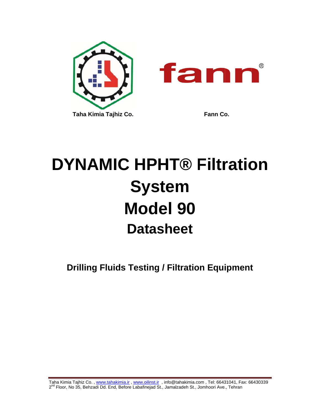

# **DYNAMIC HPHT® Filtration System Model 90 Datasheet**

**Drilling Fluids Testing / Filtration Equipment**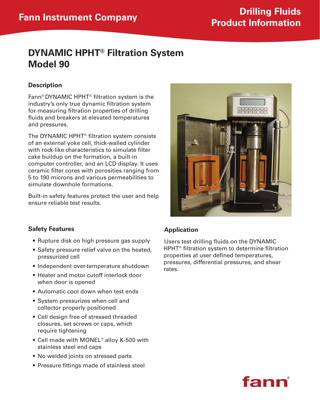## **Fann Instrument Company Drilling Fluids Product Information**

## **DYNAMIC HPHT® Filtration System Model 90**

#### **Description**

Fann® DYNAMIC HPHT® filtration system is the industry's only true dynamic filtration system for measuring filtration properties of drilling fluids and breakers at elevated temperatures and pressures.

The DYNAMIC HPHT® filtration system consists of an external yoke cell, thick-walled cylinder with rock-like characteristics to simulate filter cake buildup on the formation, a built-in computer controller, and an LCD display. It uses ceramic filter cores with porosities ranging from 5 to 190 microns and various permeabilities to simulate downhole formations.

Built-in safety features protect the user and help ensure reliable test results.

#### **Safety Features**

- Rupture disk on high pressure gas supply
- Safety pressure relief valve on the heated, pressurized cell
- Independent over-temperature shutdown
- Heater and motor cutoff interlock door when door is opened
- Automatic cool down when test ends
- System pressurizes when cell and collector properly positioned
- Cell design free of stressed threaded closures, set screws or caps, which require tightening
- Cell made with MONEL<sup>®</sup> alloy K-500 with stainless steel end caps
- No welded joints on stressed parts
- Pressure fittings made of stainless steel

#### **Application**

Users test drilling fluids on the DYNAMIC HPHT® filtration system to determine filtration properties at user defined temperatures, pressures, differential pressures, and shear rates.



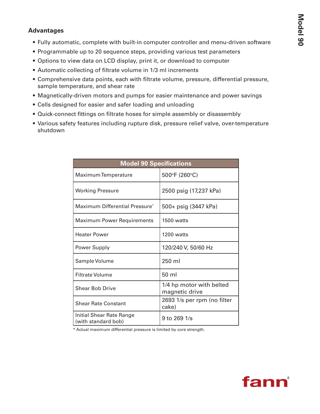#### **Advantages**

- Fully automatic, complete with built-in computer controller and menu-driven software
- Programmable up to 20 sequence steps, providing various test parameters
- Options to view data on LCD display, print it, or download to computer
- Automatic collecting of filtrate volume in 1/3 ml increments
- • Comprehensive data points, each with filtrate volume, pressure, differential pressure, sample temperature, and shear rate
- Magnetically-driven motors and pumps for easier maintenance and power savings
- Cells designed for easier and safer loading and unloading
- • Quick-connect fittings on filtrate hoses for simple assembly or disassembly
- • Various safety features including rupture disk, pressure relief valve, over-temperature shutdown

| <b>Model 90 Specifications</b>                  |                                            |  |  |
|-------------------------------------------------|--------------------------------------------|--|--|
| Maximum Temperature                             | 500°F (260°C)                              |  |  |
| <b>Working Pressure</b>                         | 2500 psig (17,237 kPa)                     |  |  |
| Maximum Differential Pressure*                  | 500+ psig (3447 kPa)                       |  |  |
| <b>Maximum Power Requirements</b>               | 1500 watts                                 |  |  |
| <b>Heater Power</b>                             | $1200$ watts                               |  |  |
| Power Supply                                    | 120/240 V, 50/60 Hz                        |  |  |
| Sample Volume                                   | 250 ml                                     |  |  |
| <b>Filtrate Volume</b>                          | 50 ml                                      |  |  |
| <b>Shear Bob Drive</b>                          | 1/4 hp motor with belted<br>magnetic drive |  |  |
| <b>Shear Rate Constant</b>                      | 2693 1/s per rpm (no filter<br>cake)       |  |  |
| Initial Shear Rate Range<br>(with standard bob) | $9$ to 269 1/s                             |  |  |

\* Actual maximum differential pressure is limited by core strength.